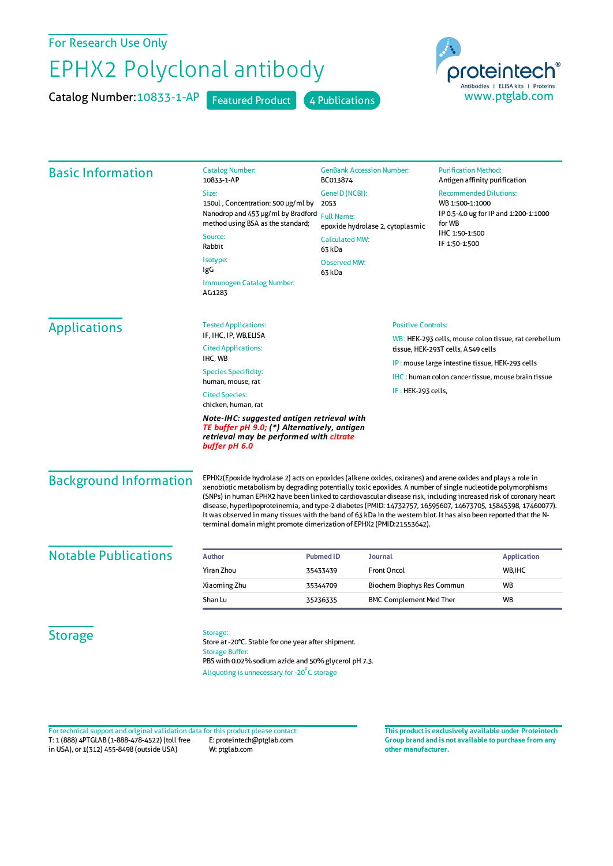For Research Use Only

## EPHX2 Polyclonal antibody

Catalog Number: 10833-1-AP Featured Product 4 Publications



| <b>Basic Information</b>      | <b>Catalog Number:</b><br>10833-1-AP                                                                                                                                                                                                                                                                                                                                                                                                                                                                                                                                                                                                                        | <b>GenBank Accession Number:</b><br>BC013874<br>GenelD (NCBI):                 |                                | <b>Purification Method:</b><br>Antigen affinity purification<br><b>Recommended Dilutions:</b>         |                                                          |  |
|-------------------------------|-------------------------------------------------------------------------------------------------------------------------------------------------------------------------------------------------------------------------------------------------------------------------------------------------------------------------------------------------------------------------------------------------------------------------------------------------------------------------------------------------------------------------------------------------------------------------------------------------------------------------------------------------------------|--------------------------------------------------------------------------------|--------------------------------|-------------------------------------------------------------------------------------------------------|----------------------------------------------------------|--|
|                               | Size:                                                                                                                                                                                                                                                                                                                                                                                                                                                                                                                                                                                                                                                       |                                                                                |                                |                                                                                                       |                                                          |  |
|                               | 150ul, Concentration: 500 µg/ml by<br>Nanodrop and 453 µg/ml by Bradford                                                                                                                                                                                                                                                                                                                                                                                                                                                                                                                                                                                    | 2053                                                                           |                                |                                                                                                       | WB 1:500-1:1000<br>IP 0.5-4.0 ug for IP and 1:200-1:1000 |  |
|                               | method using BSA as the standard;                                                                                                                                                                                                                                                                                                                                                                                                                                                                                                                                                                                                                           | <b>Full Name:</b><br>epoxide hydrolase 2, cytoplasmic<br><b>Calculated MW:</b> |                                | for WB<br>IHC 1:50-1:500                                                                              |                                                          |  |
|                               | Source:                                                                                                                                                                                                                                                                                                                                                                                                                                                                                                                                                                                                                                                     |                                                                                |                                |                                                                                                       |                                                          |  |
|                               | Rabbit                                                                                                                                                                                                                                                                                                                                                                                                                                                                                                                                                                                                                                                      | 63 kDa                                                                         |                                | IF 1:50-1:500                                                                                         |                                                          |  |
|                               | Isotype:<br>IgG                                                                                                                                                                                                                                                                                                                                                                                                                                                                                                                                                                                                                                             | <b>Observed MW:</b><br>63 kDa                                                  |                                |                                                                                                       |                                                          |  |
|                               | Immunogen Catalog Number:<br>AG1283                                                                                                                                                                                                                                                                                                                                                                                                                                                                                                                                                                                                                         |                                                                                |                                |                                                                                                       |                                                          |  |
| <b>Applications</b>           | <b>Tested Applications:</b>                                                                                                                                                                                                                                                                                                                                                                                                                                                                                                                                                                                                                                 | <b>Positive Controls:</b>                                                      |                                |                                                                                                       |                                                          |  |
|                               | IF, IHC, IP, WB, ELISA                                                                                                                                                                                                                                                                                                                                                                                                                                                                                                                                                                                                                                      |                                                                                |                                | WB: HEK-293 cells, mouse colon tissue, rat cerebellum                                                 |                                                          |  |
|                               | <b>Cited Applications:</b><br>IHC, WB                                                                                                                                                                                                                                                                                                                                                                                                                                                                                                                                                                                                                       |                                                                                |                                | tissue, HEK-293T cells, A549 cells                                                                    |                                                          |  |
|                               | <b>Species Specificity:</b>                                                                                                                                                                                                                                                                                                                                                                                                                                                                                                                                                                                                                                 |                                                                                |                                | IP: mouse large intestine tissue, HEK-293 cells<br>IHC: human colon cancer tissue, mouse brain tissue |                                                          |  |
|                               | human, mouse, rat                                                                                                                                                                                                                                                                                                                                                                                                                                                                                                                                                                                                                                           |                                                                                |                                |                                                                                                       |                                                          |  |
|                               | IF: HEK-293 cells,<br><b>Cited Species:</b><br>chicken, human, rat                                                                                                                                                                                                                                                                                                                                                                                                                                                                                                                                                                                          |                                                                                |                                |                                                                                                       |                                                          |  |
|                               | Note-IHC: suggested antigen retrieval with<br>TE buffer pH 9.0; (*) Alternatively, antigen<br>retrieval may be performed with citrate<br>buffer pH 6.0                                                                                                                                                                                                                                                                                                                                                                                                                                                                                                      |                                                                                |                                |                                                                                                       |                                                          |  |
| <b>Background Information</b> | EPHX2(Epoxide hydrolase 2) acts on epoxides (alkene oxides, oxiranes) and arene oxides and plays a role in<br>xenobiotic metabolism by degrading potentially toxic epoxides. A number of single nucleotide polymorphisms<br>(SNPs) in human EPHX2 have been linked to cardiovascular disease risk, including increased risk of coronary heart<br>disease, hyperlipoproteinemia, and type-2 diabetes (PMID: 14732757, 16595607, 14673705, 15845398, 17460077).<br>It was observed in many tissues with the band of 63 kDa in the western blot. It has also been reported that the N-<br>terminal domain might promote dimerization of EPHX2 (PMID:21553642). |                                                                                |                                |                                                                                                       |                                                          |  |
| <b>Notable Publications</b>   | <b>Author</b>                                                                                                                                                                                                                                                                                                                                                                                                                                                                                                                                                                                                                                               | <b>Pubmed ID</b>                                                               | <b>Journal</b>                 |                                                                                                       | <b>Application</b>                                       |  |
|                               | Yiran Zhou                                                                                                                                                                                                                                                                                                                                                                                                                                                                                                                                                                                                                                                  | 35433439                                                                       | <b>Front Oncol</b>             |                                                                                                       | WB, IHC                                                  |  |
|                               | Xiaoming Zhu                                                                                                                                                                                                                                                                                                                                                                                                                                                                                                                                                                                                                                                | 35344709                                                                       | Biochem Biophys Res Commun     |                                                                                                       | WB                                                       |  |
|                               | Shan Lu                                                                                                                                                                                                                                                                                                                                                                                                                                                                                                                                                                                                                                                     | 35236335                                                                       | <b>BMC Complement Med Ther</b> |                                                                                                       | WB                                                       |  |
|                               |                                                                                                                                                                                                                                                                                                                                                                                                                                                                                                                                                                                                                                                             |                                                                                |                                |                                                                                                       |                                                          |  |
| <b>Storage</b>                | Storage:<br>Store at -20°C. Stable for one year after shipment.<br><b>Storage Buffer:</b><br>PBS with 0.02% sodium azide and 50% glycerol pH 7.3.<br>Aliquoting is unnecessary for -20°C storage                                                                                                                                                                                                                                                                                                                                                                                                                                                            |                                                                                |                                |                                                                                                       |                                                          |  |

T: 1 (888) 4PTGLAB (1-888-478-4522) (toll free in USA), or 1(312) 455-8498 (outside USA) E: proteintech@ptglab.com W: ptglab.com Fortechnical support and original validation data forthis product please contact: **This productis exclusively available under Proteintech**

**Group brand and is not available to purchase from any other manufacturer.**